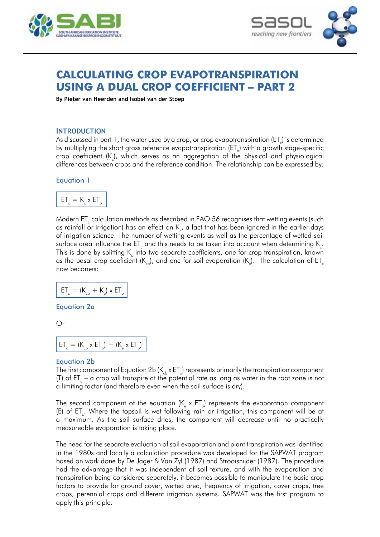



# **Calculating crop evapotranspiration using a dual crop coefficient – Part 2**

**By Pieter van Heerden and Isobel van der Stoep**

### **Introduction**

As discussed in part 1, the water used by a crop, or crop evapotranspiration (ET $_{c}$ ) is determined by multiplying the short grass reference evapotranspiration (ET $_{\circ}$ ) with a growth stage-specific crop coefficient (K), which serves as an aggregation of the physical and physiological differences between crops and the reference condition. The relationship can be expressed by:

#### Equation 1



Modern ET $_{\textrm{\tiny{c}}}$  calculation methods as described in FAO 56 recognises that wetting events (such as rainfall or irrigation) has an effect on  $\mathsf{K}_c$ , a fact that has been ignored in the earlier days of irrigation science. The number of wetting events as well as the percentage of wetted soil surface area influence the ET $_{\textrm{\tiny{c}}}$  and this needs to be taken into account when determining K  $_{\textrm{\tiny{c}}}$ . This is done by splitting K<sub>c</sub> into two separate coefficients, one for crop transpiration, known as the basal crop coeficient (K<sub>cb</sub>), and one for soil evaporation (K<sub>e</sub>). The calculation of ET<sub>c</sub> now becomes:

$$
\mathsf{ET}_{_{\mathrm{c}}} = (\mathsf{K}_{_{\mathrm{cb}}} \, + \, \mathsf{K}_{_{\mathrm{e}}}) \times \mathsf{ET}_{_{\mathrm{o}}}
$$

Equation 2a

Or

$$
ET_{c} = (K_{cb} \times ET_{o}) + (K_{e} \times ET_{o})
$$

#### Equation 2b

The first component of Equation 2b (K $_{\rm cb}$  x ET $_{\rm o}$ ) represents primarily the transpiration component (T) of ET  $_{c}$  – a crop will transpire at the potential rate as long as water in the root zone is not a limiting factor (and therefore even when the soil surface is dry).

The second component of the equation (K  $_{\textrm{\tiny{e}}}$  x ET ) represents the evaporation component (E) of ET<sub>c</sub>. Where the topsoil is wet following rain or irrigation, this component will be at a maximum. As the soil surface dries, the component will decrease until no practically measureable evaporation is taking place.

The need for the separate evaluation of soil evaporation and plant transpiration was identified in the 1980s and locally a calculation procedure was developed for the SAPWAT program based on work done by De Jager & Van Zyl (1987) and Strooisnijder (1987). The procedure had the advantage that it was independent of soil texture, and with the evaporation and transpiration being considered separately, it becomes possible to manipulate the basic crop factors to provide for ground cover, wetted area, frequency of irrigation, cover crops, tree crops, perennial crops and different irrigation systems. SAPWAT was the first program to apply this principle.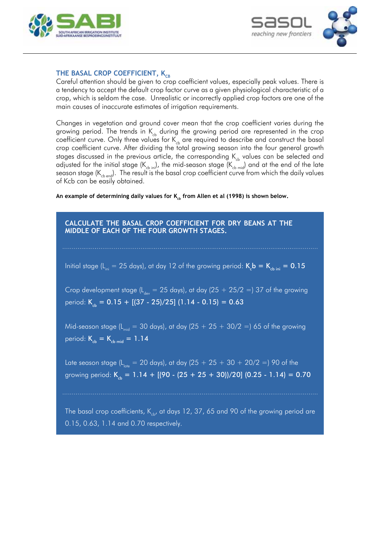



## THE BASAL CROP COEFFICIENT, K<sub>CB</sub>

Careful attention should be given to crop coefficient values, especially peak values. There is a tendency to accept the default crop factor curve as a given physiological characteristic of a crop, which is seldom the case. Unrealistic or incorrectly applied crop factors are one of the main causes of inaccurate estimates of irrigation requirements.

Changes in vegetation and ground cover mean that the crop coefficient varies during the growing period. The trends in  $K_{cb}$  during the growing period are represented in the crop coefficient curve. Only three values for  $K_{ch}$  are required to describe and construct the basal crop coefficient curve. After dividing the total growing season into the four general growth stages discussed in the previous article, the corresponding  $K_{ch}$  values can be selected and adjusted for the initial stage (K<sub>cb ini</sub>), the mid-season stage (K<sub>cb mid</sub>) and at the end of the late season stage (K $_{\rm cb\, end}$ ). The result is the basal crop coefficient curve from which the daily values of Kcb can be easily obtained.

An example of determining daily values for K<sub>ch</sub> from Allen et al (1998) is shown below.

**Calculate the basal crop coefficient for dry beans at the middle of each of the four growth stages.**

Initial stage (L<sub>ini</sub> = 25 days), at day 12 of the growing period:  $\rm{K_{c}b} = \rm{K_{cb\,ini}} = 0.15$ 

Crop development stage ( $L_{\text{day}} = 25$  days), at day (25 + 25/2 =) 37 of the growing period:  $K_{cb} = 0.15 + [(37 - 25)/25] (1.14 - 0.15) = 0.63$ 

Mid-season stage ( $L_{mid}$  = 30 days), at day (25 + 25 + 30/2 =) 65 of the growing period:  $K_{cb} = K_{cb \text{ mid}} = 1.14$ 

Late season stage (L<sub>late</sub> = 20 days), at day (25 + 25 + 30 + 20/2 =) 90 of the growing period:  $K_{cb} = 1.14 + [(90 - (25 + 25 + 30))/20]$  (0.25 - 1.14) = 0.70

The basal crop coefficients,  $K_{ch}$ , at days 12, 37, 65 and 90 of the growing period are 0.15, 0.63, 1.14 and 0.70 respectively.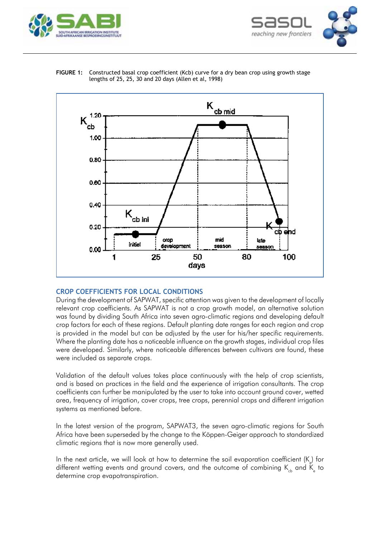





**FIGURE 1:** Constructed basal crop coefficient (Kcb) curve for a dry bean crop using growth stage lengths of 25, 25, 30 and 20 days (Allen et al, 1998)

## **Crop coefficients for local conditions**

During the development of SAPWAT, specific attention was given to the development of locally relevant crop coefficients. As SAPWAT is not a crop growth model, an alternative solution was found by dividing South Africa into seven agro-climatic regions and developing default crop factors for each of these regions. Default planting date ranges for each region and crop is provided in the model but can be adjusted by the user for his/her specific requirements. Where the planting date has a noticeable influence on the growth stages, individual crop files were developed. Similarly, where noticeable differences between cultivars are found, these were included as separate crops.

Validation of the default values takes place continuously with the help of crop scientists, and is based on practices in the field and the experience of irrigation consultants. The crop coefficients can further be manipulated by the user to take into account ground cover, wetted area, frequency of irrigation, cover crops, tree crops, perennial crops and different irrigation systems as mentioned before.

In the latest version of the program, SAPWAT3, the seven agro-climatic regions for South Africa have been superseded by the change to the Köppen-Geiger approach to standardized climatic regions that is now more generally used.

In the next article, we will look at how to determine the soil evaporation coefficient (K $_{\tiny \rm e}$ ) for different wetting events and ground covers, and the outcome of combining  $\mathsf{K}_{_{\mathrm{cb}}}$  and  $\mathsf{K}_{_{\mathrm{e}}}$  to determine crop evapotranspiration.